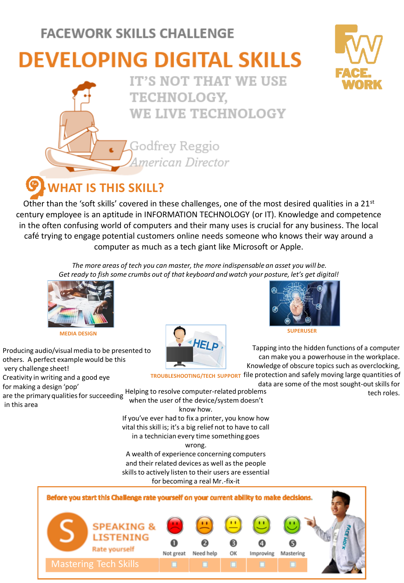## **FACEWORK SKILLS CHALLENGE**

## **DEVELOPING DIGITAL SKILLS**





Godfrey Reggio merican Director

## **WHAT IS THIS SKILL?**

Other than the 'soft skills' covered in these challenges, one of the most desired qualities in a  $21^{st}$ century employee is an aptitude in INFORMATION TECHNOLOGY (or IT). Knowledge and competence in the often confusing world of computers and their many uses is crucial for any business. The local café trying to engage potential customers online needs someone who knows their way around a computer as much as a tech giant like Microsoft or Apple.

> *The more areas of tech you can master, the more indispensable an asset you will be. Get ready to fish some crumbs out of that keyboard and watch your posture, let's get digital!*



**MEDIA DESIGN**

Producing audio/visual media to be presented to others. A perfect example would be this very challenge sheet!

Creativity in writing and a good eye

for making a design 'pop'





**SUPERUSER**

Tapping into the hidden functions of a computer can make you a powerhouse in the workplace. Knowledge of obscure topics such as overclocking,

**TROUBLESHOOTING/TECH SUPPORT** file protection and safely moving large quantities of data are some of the most sought-out skills for

tech roles.

of making a design pop<br>are the primary qualities for succeeding<br>when the vess of the devise fauton descrit in this area when the user of the device/system doesn't know how.

If you've ever had to fix a printer, you know how vital this skill is; it's a big relief not to have to call in a technician every time something goes wrong.

A wealth of experience concerning computers and their related devices as well as the people skills to actively listen to their users are essential for becoming a real Mr.-fix-it

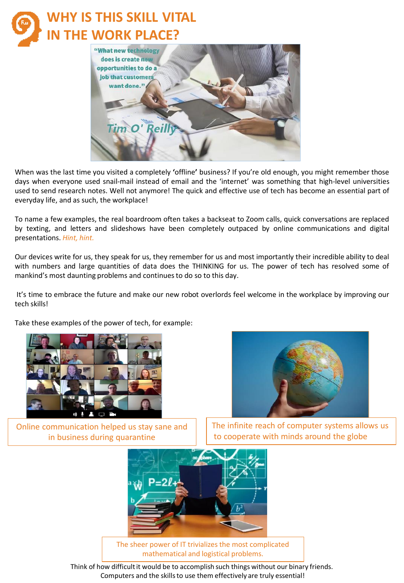



When was the last time you visited a completely **'**offline**'** business? If you're old enough, you might remember those days when everyone used snail-mail instead of email and the 'internet' was something that high-level universities used to send research notes. Well not anymore! The quick and effective use of tech has become an essential part of everyday life, and as such, the workplace!

To name a few examples, the real boardroom often takes a backseat to Zoom calls, quick conversations are replaced by texting, and letters and slideshows have been completely outpaced by online communications and digital presentations. *Hint, hint.*

Our devices write for us, they speak for us, they remember for us and most importantly their incredible ability to deal with numbers and large quantities of data does the THINKING for us. The power of tech has resolved some of mankind's most daunting problems and continuesto do so to this day.

It's time to embrace the future and make our new robot overlords feel welcome in the workplace by improving our tech skills!

Take these examples of the power of tech, for example:



Online communication helped us stay sane and in business during quarantine



The infinite reach of computer systems allows us to cooperate with minds around the globe



The sheer power of IT trivializes the most complicated mathematical and logistical problems.

Think of how difficult it would be to accomplish such things without our binary friends. Computers and the skills to use them effectively are truly essential!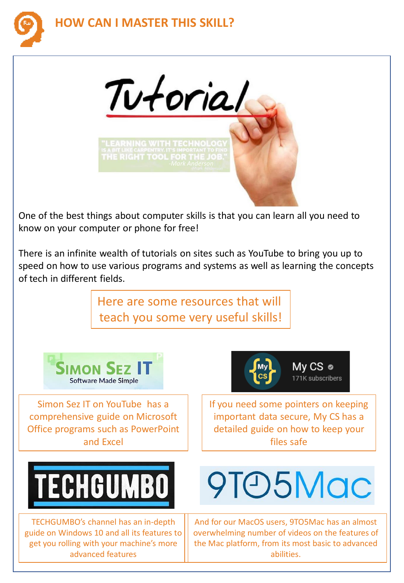



One of the best things about computer skills is that you can learn all you need to know on your computer or phone for free!

There is an infinite wealth of tutorials on sites such as YouTube to bring you up to speed on how to use various programs and systems as well as learning the concepts of tech in different fields.

> Here are some resources that will teach you some very useful skills!



Simon Sez IT on YouTube has a comprehensive guide on Microsoft Office programs such as PowerPoint and Excel



TECHGUMBO's channel has an in-depth guide on Windows 10 and all its features to get you rolling with your machine's more advanced features



My CS ® 171K subscribers

If you need some pointers on keeping important data secure, My CS has a detailed guide on how to keep your files safe



And for our MacOS users, 9TO5Mac has an almost overwhelming number of videos on the features of the Mac platform, from its most basic to advanced abilities.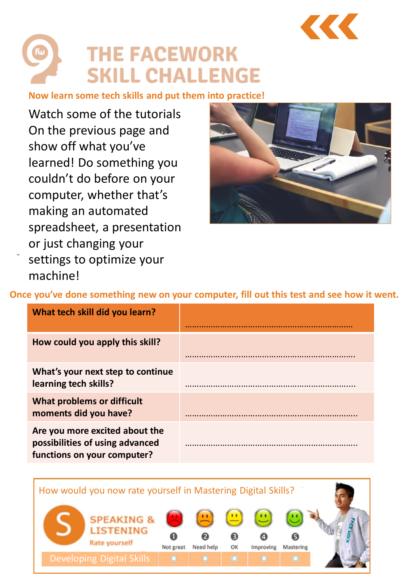

## **THE FACEWORK SKILL CHALLENGE**

**Now learn some tech skills and put them into practice!**

Watch some of the tutorials On the previous page and show off what you've learned! Do something you couldn't do before on your computer, whether that's making an automated spreadsheet, a presentation or just changing your



Let settings to optimize your machine!

**Once you've done something new on your computer, fill out this test and see how it went.**

| What tech skill did you learn?                                                                   |  |
|--------------------------------------------------------------------------------------------------|--|
|                                                                                                  |  |
| How could you apply this skill?                                                                  |  |
|                                                                                                  |  |
| What's your next step to continue<br>learning tech skills?                                       |  |
| What problems or difficult<br>moments did you have?                                              |  |
| Are you more excited about the<br>possibilities of using advanced<br>functions on your computer? |  |